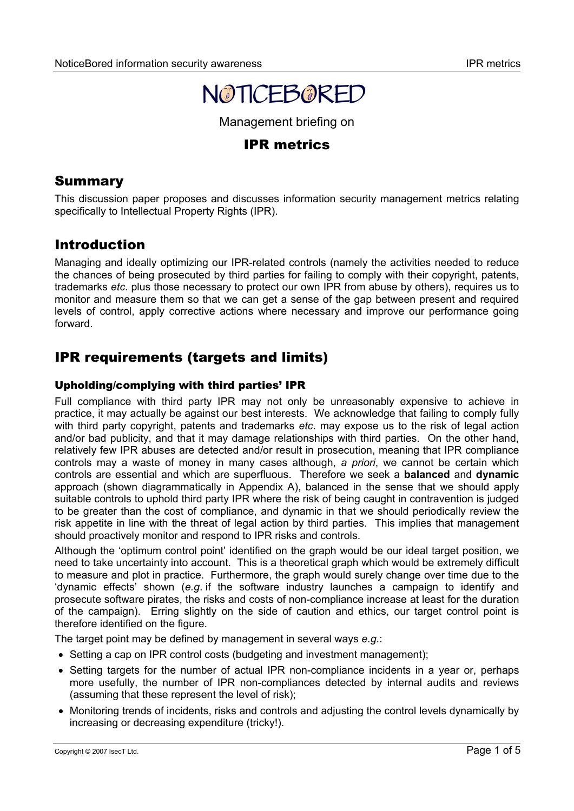

Management briefing on

## IPR metrics

## **Summary**

This discussion paper proposes and discusses information security management metrics relating specifically to Intellectual Property Rights (IPR).

## Introduction

Managing and ideally optimizing our IPR-related controls (namely the activities needed to reduce the chances of being prosecuted by third parties for failing to comply with their copyright, patents, trademarks *etc*. plus those necessary to protect our own IPR from abuse by others), requires us to monitor and measure them so that we can get a sense of the gap between present and required levels of control, apply corrective actions where necessary and improve our performance going forward.

# IPR requirements (targets and limits)

## Upholding/complying with third parties' IPR

Full compliance with third party IPR may not only be unreasonably expensive to achieve in practice, it may actually be against our best interests. We acknowledge that failing to comply fully with third party copyright, patents and trademarks *etc*. may expose us to the risk of legal action and/or bad publicity, and that it may damage relationships with third parties. On the other hand, relatively few IPR abuses are detected and/or result in prosecution, meaning that IPR compliance controls may a waste of money in many cases although, *a priori*, we cannot be certain which controls are essential and which are superfluous. Therefore we seek a **balanced** and **dynamic** approach (shown diagrammatically in Appendix A), balanced in the sense that we should apply suitable controls to uphold third party IPR where the risk of being caught in contravention is judged to be greater than the cost of compliance, and dynamic in that we should periodically review the risk appetite in line with the threat of legal action by third parties. This implies that management should proactively monitor and respond to IPR risks and controls.

Although the 'optimum control point' identified on the graph would be our ideal target position, we need to take uncertainty into account. This is a theoretical graph which would be extremely difficult to measure and plot in practice. Furthermore, the graph would surely change over time due to the 'dynamic effects' shown (*e.g*. if the software industry launches a campaign to identify and prosecute software pirates, the risks and costs of non-compliance increase at least for the duration of the campaign). Erring slightly on the side of caution and ethics, our target control point is therefore identified on the figure.

The target point may be defined by management in several ways *e.g*.:

- Setting a cap on IPR control costs (budgeting and investment management);
- Setting targets for the number of actual IPR non-compliance incidents in a vear or, perhaps more usefully, the number of IPR non-compliances detected by internal audits and reviews (assuming that these represent the level of risk);
- Monitoring trends of incidents, risks and controls and adjusting the control levels dynamically by increasing or decreasing expenditure (tricky!).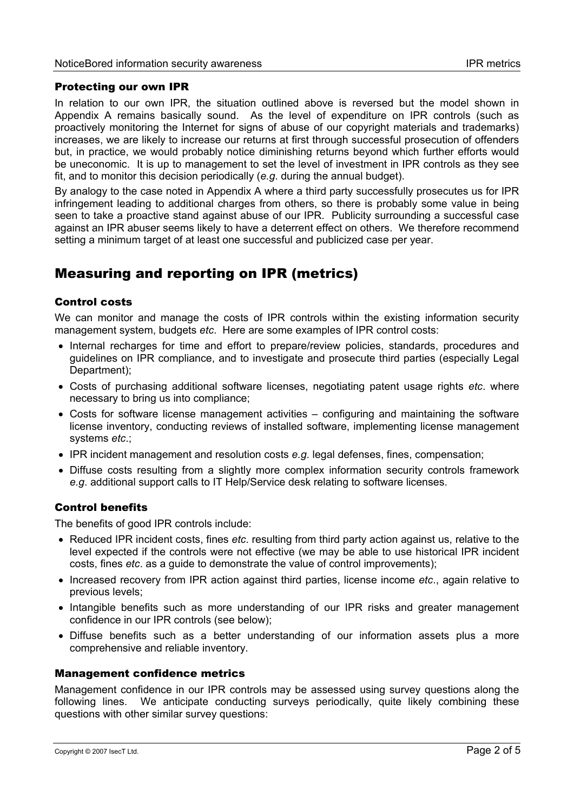## Protecting our own IPR

In relation to our own IPR, the situation outlined above is reversed but the model shown in Appendix A remains basically sound. As the level of expenditure on IPR controls (such as proactively monitoring the Internet for signs of abuse of our copyright materials and trademarks) increases, we are likely to increase our returns at first through successful prosecution of offenders but, in practice, we would probably notice diminishing returns beyond which further efforts would be uneconomic. It is up to management to set the level of investment in IPR controls as they see fit, and to monitor this decision periodically (*e.g*. during the annual budget).

By analogy to the case noted in Appendix A where a third party successfully prosecutes us for IPR infringement leading to additional charges from others, so there is probably some value in being seen to take a proactive stand against abuse of our IPR. Publicity surrounding a successful case against an IPR abuser seems likely to have a deterrent effect on others. We therefore recommend setting a minimum target of at least one successful and publicized case per year.

# Measuring and reporting on IPR (metrics)

## Control costs

We can monitor and manage the costs of IPR controls within the existing information security management system, budgets *etc*. Here are some examples of IPR control costs:

- Internal recharges for time and effort to prepare/review policies, standards, procedures and guidelines on IPR compliance, and to investigate and prosecute third parties (especially Legal Department);
- Costs of purchasing additional software licenses, negotiating patent usage rights *etc*. where necessary to bring us into compliance;
- Costs for software license management activities configuring and maintaining the software license inventory, conducting reviews of installed software, implementing license management systems *etc*.;
- IPR incident management and resolution costs *e.g*. legal defenses, fines, compensation;
- Diffuse costs resulting from a slightly more complex information security controls framework *e.g*. additional support calls to IT Help/Service desk relating to software licenses.

#### Control benefits

The benefits of good IPR controls include:

- Reduced IPR incident costs, fines *etc*. resulting from third party action against us, relative to the level expected if the controls were not effective (we may be able to use historical IPR incident costs, fines *etc*. as a guide to demonstrate the value of control improvements);
- Increased recovery from IPR action against third parties, license income *etc*., again relative to previous levels;
- Intangible benefits such as more understanding of our IPR risks and greater management confidence in our IPR controls (see below);
- Diffuse benefits such as a better understanding of our information assets plus a more comprehensive and reliable inventory.

#### Management confidence metrics

Management confidence in our IPR controls may be assessed using survey questions along the following lines. We anticipate conducting surveys periodically, quite likely combining these questions with other similar survey questions: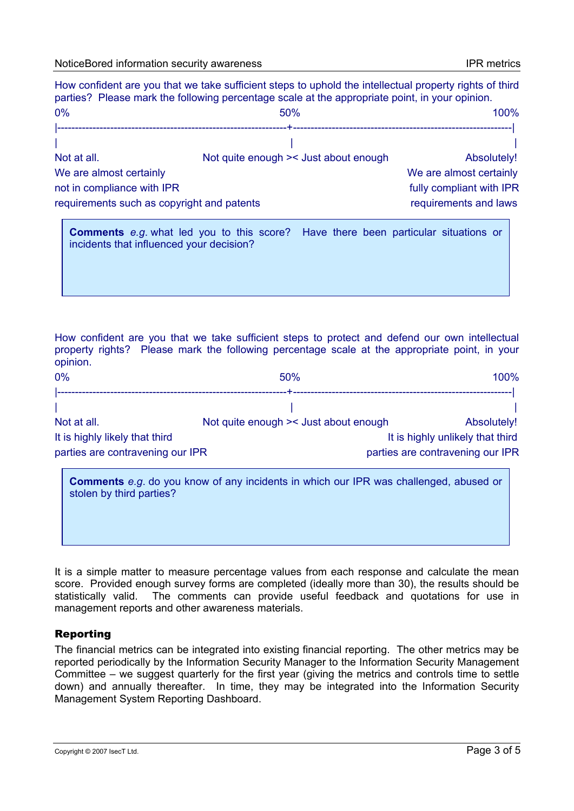|                                            | How confident are you that we take sufficient steps to uphold the intellectual property rights of third<br>parties? Please mark the following percentage scale at the appropriate point, in your opinion. |                         |
|--------------------------------------------|-----------------------------------------------------------------------------------------------------------------------------------------------------------------------------------------------------------|-------------------------|
| 0%                                         | 50%                                                                                                                                                                                                       | 100%                    |
|                                            |                                                                                                                                                                                                           |                         |
| Not at all.                                | Not quite enough >< Just about enough                                                                                                                                                                     | Absolutely!             |
| We are almost certainly                    |                                                                                                                                                                                                           | We are almost certainly |
| not in compliance with IPR                 | fully compliant with IPR                                                                                                                                                                                  |                         |
| requirements such as copyright and patents | requirements and laws                                                                                                                                                                                     |                         |

**Comments** *e.g*. what led you to this score? Have there been particular situations or incidents that influenced your decision?

How confident are you that we take sufficient steps to protect and defend our own intellectual property rights? Please mark the following percentage scale at the appropriate point, in your opinion.

| 0%                               | 50%                                   | 100%                             |
|----------------------------------|---------------------------------------|----------------------------------|
|                                  |                                       |                                  |
|                                  |                                       |                                  |
| Not at all.                      | Not quite enough >< Just about enough | Absolutely!                      |
| It is highly likely that third   |                                       | It is highly unlikely that third |
| parties are contravening our IPR |                                       | parties are contravening our IPR |

| <b>Comments</b> e.g. do you know of any incidents in which our IPR was challenged, abused or<br>stolen by third parties? |  |
|--------------------------------------------------------------------------------------------------------------------------|--|
|                                                                                                                          |  |

It is a simple matter to measure percentage values from each response and calculate the mean score. Provided enough survey forms are completed (ideally more than 30), the results should be statistically valid. The comments can provide useful feedback and quotations for use in management reports and other awareness materials.

#### Reporting

The financial metrics can be integrated into existing financial reporting. The other metrics may be reported periodically by the Information Security Manager to the Information Security Management Committee – we suggest quarterly for the first year (giving the metrics and controls time to settle down) and annually thereafter. In time, they may be integrated into the Information Security Management System Reporting Dashboard.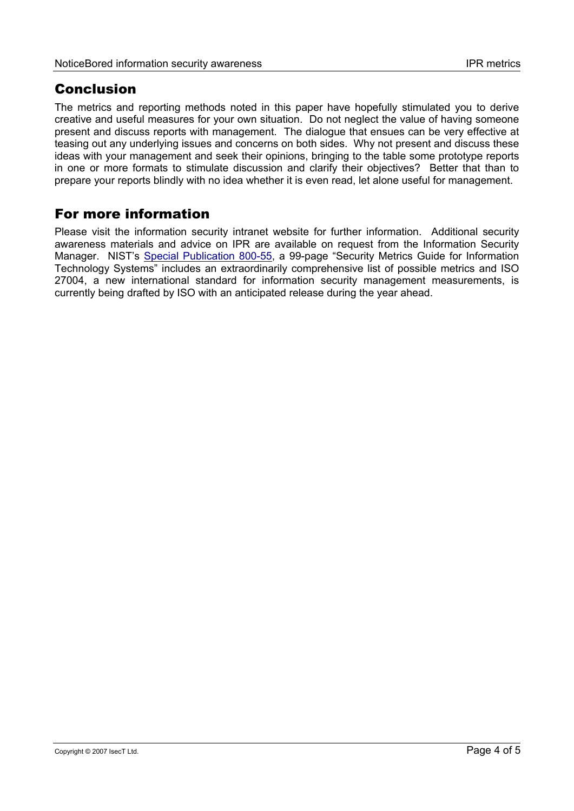## Conclusion

The metrics and reporting methods noted in this paper have hopefully stimulated you to derive creative and useful measures for your own situation. Do not neglect the value of having someone present and discuss reports with management. The dialogue that ensues can be very effective at teasing out any underlying issues and concerns on both sides. Why not present and discuss these ideas with your management and seek their opinions, bringing to the table some prototype reports in one or more formats to stimulate discussion and clarify their objectives? Better that than to prepare your reports blindly with no idea whether it is even read, let alone useful for management.

# For more information

Please visit the information security intranet website for further information. Additional security awareness materials and advice on IPR are available on request from the Information Security Manager. NIST's [Special Publication 800-55,](http://csrc.nist.gov/publications/nistpubs/800-55/sp800-55.pdf) a 99-page "Security Metrics Guide for Information Technology Systems" includes an extraordinarily comprehensive list of possible metrics and ISO 27004, a new international standard for information security management measurements, is currently being drafted by ISO with an anticipated release during the year ahead.